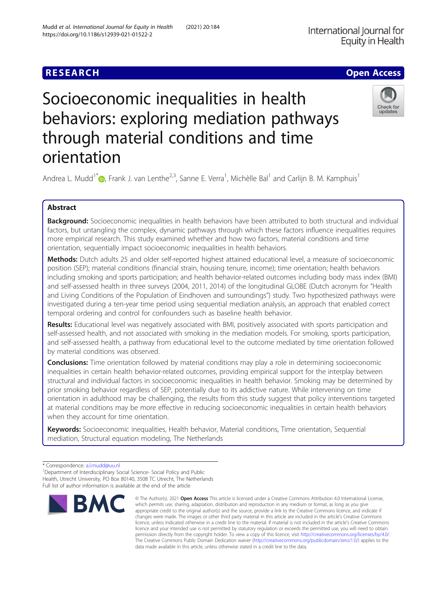## **RESEARCH CHE Open Access**

# Socioeconomic inequalities in health behaviors: exploring mediation pathways through material conditions and time orientation



Andrea L. Mudd<sup>1\*</sup> (@[,](http://orcid.org/0000-0002-9992-6991) Frank J. van Lenthe<sup>2,3</sup>, Sanne E. Verra<sup>1</sup>, Michèlle Bal<sup>1</sup> and Carlijn B. M. Kamphuis<sup>1</sup>

## Abstract

Background: Socioeconomic inequalities in health behaviors have been attributed to both structural and individual factors, but untangling the complex, dynamic pathways through which these factors influence inequalities requires more empirical research. This study examined whether and how two factors, material conditions and time orientation, sequentially impact socioeconomic inequalities in health behaviors.

Methods: Dutch adults 25 and older self-reported highest attained educational level, a measure of socioeconomic position (SEP); material conditions (financial strain, housing tenure, income); time orientation; health behaviors including smoking and sports participation; and health behavior-related outcomes including body mass index (BMI) and self-assessed health in three surveys (2004, 2011, 2014) of the longitudinal GLOBE (Dutch acronym for "Health and Living Conditions of the Population of Eindhoven and surroundings") study. Two hypothesized pathways were investigated during a ten-year time period using sequential mediation analysis, an approach that enabled correct temporal ordering and control for confounders such as baseline health behavior.

Results: Educational level was negatively associated with BMI, positively associated with sports participation and self-assessed health, and not associated with smoking in the mediation models. For smoking, sports participation, and self-assessed health, a pathway from educational level to the outcome mediated by time orientation followed by material conditions was observed.

**Conclusions:** Time orientation followed by material conditions may play a role in determining socioeconomic inequalities in certain health behavior-related outcomes, providing empirical support for the interplay between structural and individual factors in socioeconomic inequalities in health behavior. Smoking may be determined by prior smoking behavior regardless of SEP, potentially due to its addictive nature. While intervening on time orientation in adulthood may be challenging, the results from this study suggest that policy interventions targeted at material conditions may be more effective in reducing socioeconomic inequalities in certain health behaviors when they account for time orientation.

Keywords: Socioeconomic inequalities, Health behavior, Material conditions, Time orientation, Sequential mediation, Structural equation modeling, The Netherlands

<sup>&</sup>lt;sup>1</sup>Department of Interdisciplinary Social Science- Social Policy and Public Health, Utrecht University, PO Box 80140, 3508 TC Utrecht, The Netherlands Full list of author information is available at the end of the article



<sup>©</sup> The Author(s), 2021 **Open Access** This article is licensed under a Creative Commons Attribution 4.0 International License, which permits use, sharing, adaptation, distribution and reproduction in any medium or format, as long as you give appropriate credit to the original author(s) and the source, provide a link to the Creative Commons licence, and indicate if changes were made. The images or other third party material in this article are included in the article's Creative Commons licence, unless indicated otherwise in a credit line to the material. If material is not included in the article's Creative Commons licence and your intended use is not permitted by statutory regulation or exceeds the permitted use, you will need to obtain permission directly from the copyright holder. To view a copy of this licence, visit [http://creativecommons.org/licenses/by/4.0/.](http://creativecommons.org/licenses/by/4.0/) The Creative Commons Public Domain Dedication waiver [\(http://creativecommons.org/publicdomain/zero/1.0/](http://creativecommons.org/publicdomain/zero/1.0/)) applies to the data made available in this article, unless otherwise stated in a credit line to the data.

<sup>\*</sup> Correspondence: [a.l.mudd@uu.nl](mailto:a.l.mudd@uu.nl) <sup>1</sup>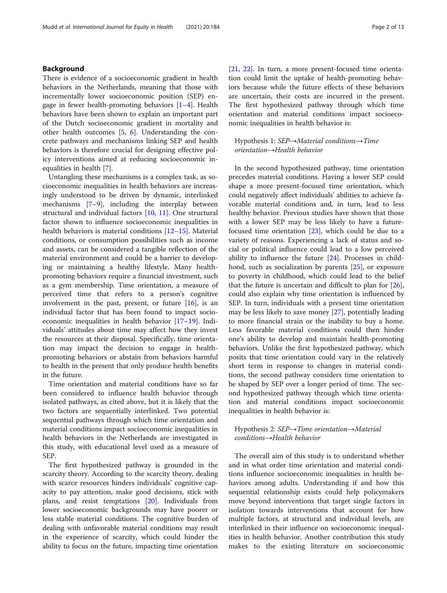## Background

There is evidence of a socioeconomic gradient in health behaviors in the Netherlands, meaning that those with incrementally lower socioeconomic position (SEP) engage in fewer health-promoting behaviors [\[1](#page-11-0)–[4\]](#page-11-0). Health behaviors have been shown to explain an important part of the Dutch socioeconomic gradient in mortality and other health outcomes [\[5](#page-11-0), [6](#page-11-0)]. Understanding the concrete pathways and mechanisms linking SEP and health behaviors is therefore crucial for designing effective policy interventions aimed at reducing socioeconomic inequalities in health [\[7](#page-11-0)].

Untangling these mechanisms is a complex task, as socioeconomic inequalities in health behaviors are increasingly understood to be driven by dynamic, interlinked mechanisms [\[7](#page-11-0)–[9\]](#page-11-0), including the interplay between structural and individual factors [\[10,](#page-11-0) [11](#page-11-0)]. One structural factor shown to influence socioeconomic inequalities in health behaviors is material conditions [\[12](#page-11-0)–[15\]](#page-11-0). Material conditions, or consumption possibilities such as income and assets, can be considered a tangible reflection of the material environment and could be a barrier to developing or maintaining a healthy lifestyle. Many healthpromoting behaviors require a financial investment, such as a gym membership. Time orientation, a measure of perceived time that refers to a person's cognitive involvement in the past, present, or future [[16](#page-11-0)], is an individual factor that has been found to impact socioeconomic inequalities in health behavior [\[17](#page-11-0)–[19\]](#page-11-0). Individuals' attitudes about time may affect how they invest the resources at their disposal. Specifically, time orientation may impact the decision to engage in healthpromoting behaviors or abstain from behaviors harmful to health in the present that only produce health benefits in the future.

Time orientation and material conditions have so far been considered to influence health behavior through isolated pathways, as cited above, but it is likely that the two factors are sequentially interlinked. Two potential sequential pathways through which time orientation and material conditions impact socioeconomic inequalities in health behaviors in the Netherlands are investigated in this study, with educational level used as a measure of SEP.

The first hypothesized pathway is grounded in the scarcity theory. According to the scarcity theory, dealing with scarce resources hinders individuals' cognitive capacity to pay attention, make good decisions, stick with plans, and resist temptations [[20](#page-11-0)]. Individuals from lower socioeconomic backgrounds may have poorer or less stable material conditions. The cognitive burden of dealing with unfavorable material conditions may result in the experience of scarcity, which could hinder the ability to focus on the future, impacting time orientation [[21,](#page-11-0) [22\]](#page-12-0). In turn, a more present-focused time orientation could limit the uptake of health-promoting behaviors because while the future effects of these behaviors are uncertain, their costs are incurred in the present. The first hypothesized pathway through which time orientation and material conditions impact socioeconomic inequalities in health behavior is:

## Hypothesis 1: SEP→Material conditions→Time orientation→Health behavior

In the second hypothesized pathway, time orientation precedes material conditions. Having a lower SEP could shape a more present-focused time orientation, which could negatively affect individuals' abilities to achieve favorable material conditions and, in turn, lead to less healthy behavior. Previous studies have shown that those with a lower SEP may be less likely to have a futurefocused time orientation [[23](#page-12-0)], which could be due to a variety of reasons. Experiencing a lack of status and social or political influence could lead to a low perceived ability to influence the future  $[24]$ . Processes in childhood, such as socialization by parents [\[25](#page-12-0)], or exposure to poverty in childhood, which could lead to the belief that the future is uncertain and difficult to plan for [\[26](#page-12-0)], could also explain why time orientation is influenced by SEP. In turn, individuals with a present time orientation may be less likely to save money [[27\]](#page-12-0), potentially leading to more financial strain or the inability to buy a home. Less favorable material conditions could then hinder one's ability to develop and maintain health-promoting behaviors. Unlike the first hypothesized pathway, which posits that time orientation could vary in the relatively short term in response to changes in material conditions, the second pathway considers time orientation to be shaped by SEP over a longer period of time. The second hypothesized pathway through which time orientation and material conditions impact socioeconomic inequalities in health behavior is:

## Hypothesis 2: SEP→Time orientation→Material conditions→Health behavior

The overall aim of this study is to understand whether and in what order time orientation and material conditions influence socioeconomic inequalities in health behaviors among adults. Understanding if and how this sequential relationship exists could help policymakers move beyond interventions that target single factors in isolation towards interventions that account for how multiple factors, at structural and individual levels, are interlinked in their influence on socioeconomic inequalities in health behavior. Another contribution this study makes to the existing literature on socioeconomic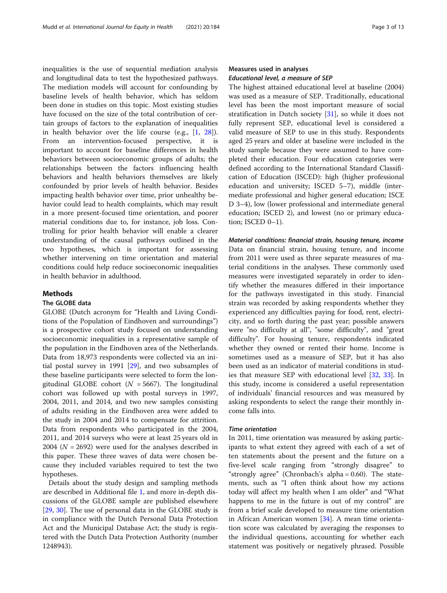inequalities is the use of sequential mediation analysis and longitudinal data to test the hypothesized pathways. The mediation models will account for confounding by baseline levels of health behavior, which has seldom been done in studies on this topic. Most existing studies have focused on the size of the total contribution of certain groups of factors to the explanation of inequalities in health behavior over the life course (e.g., [[1,](#page-11-0) [28](#page-12-0)]). From an intervention-focused perspective, it is important to account for baseline differences in health behaviors between socioeconomic groups of adults; the relationships between the factors influencing health behaviors and health behaviors themselves are likely confounded by prior levels of health behavior. Besides impacting health behavior over time, prior unhealthy behavior could lead to health complaints, which may result in a more present-focused time orientation, and poorer material conditions due to, for instance, job loss. Controlling for prior health behavior will enable a clearer understanding of the causal pathways outlined in the two hypotheses, which is important for assessing whether intervening on time orientation and material conditions could help reduce socioeconomic inequalities in health behavior in adulthood.

## **Methods**

## The GLOBE data

GLOBE (Dutch acronym for "Health and Living Conditions of the Population of Eindhoven and surroundings") is a prospective cohort study focused on understanding socioeconomic inequalities in a representative sample of the population in the Eindhoven area of the Netherlands. Data from 18,973 respondents were collected via an initial postal survey in 1991 [[29\]](#page-12-0), and two subsamples of these baseline participants were selected to form the longitudinal GLOBE cohort ( $N = 5667$ ). The longitudinal cohort was followed up with postal surveys in 1997, 2004, 2011, and 2014, and two new samples consisting of adults residing in the Eindhoven area were added to the study in 2004 and 2014 to compensate for attrition. Data from respondents who participated in the 2004, 2011, and 2014 surveys who were at least 25 years old in 2004 ( $N = 2692$ ) were used for the analyses described in this paper. These three waves of data were chosen because they included variables required to test the two hypotheses.

Details about the study design and sampling methods are described in Additional file [1,](#page-10-0) and more in-depth discussions of the GLOBE sample are published elsewhere [[29,](#page-12-0) [30\]](#page-12-0). The use of personal data in the GLOBE study is in compliance with the Dutch Personal Data Protection Act and the Municipal Database Act; the study is registered with the Dutch Data Protection Authority (number 1248943).

## Measures used in analyses Educational level, a measure of SEP

The highest attained educational level at baseline (2004) was used as a measure of SEP. Traditionally, educational level has been the most important measure of social stratification in Dutch society [[31](#page-12-0)], so while it does not fully represent SEP, educational level is considered a valid measure of SEP to use in this study. Respondents aged 25 years and older at baseline were included in the study sample because they were assumed to have completed their education. Four education categories were defined according to the International Standard Classification of Education (ISCED): high (higher professional education and university; ISCED 5–7), middle (intermediate professional and higher general education; ISCE D 3–4), low (lower professional and intermediate general education; ISCED 2), and lowest (no or primary education; ISCED 0–1).

Material conditions: financial strain, housing tenure, income Data on financial strain, housing tenure, and income from 2011 were used as three separate measures of material conditions in the analyses. These commonly used measures were investigated separately in order to identify whether the measures differed in their importance for the pathways investigated in this study. Financial strain was recorded by asking respondents whether they experienced any difficulties paying for food, rent, electricity, and so forth during the past year; possible answers were "no difficulty at all", "some difficulty", and "great difficulty". For housing tenure, respondents indicated whether they owned or rented their home. Income is sometimes used as a measure of SEP, but it has also been used as an indicator of material conditions in studies that measure SEP with educational level [\[32,](#page-12-0) [33\]](#page-12-0). In this study, income is considered a useful representation of individuals' financial resources and was measured by asking respondents to select the range their monthly income falls into.

## Time orientation

In 2011, time orientation was measured by asking participants to what extent they agreed with each of a set of ten statements about the present and the future on a five-level scale ranging from "strongly disagree" to "strongly agree" (Chronbach's alpha = 0.60). The statements, such as "I often think about how my actions today will affect my health when I am older" and "What happens to me in the future is out of my control" are from a brief scale developed to measure time orientation in African American women [[34\]](#page-12-0). A mean time orientation score was calculated by averaging the responses to the individual questions, accounting for whether each statement was positively or negatively phrased. Possible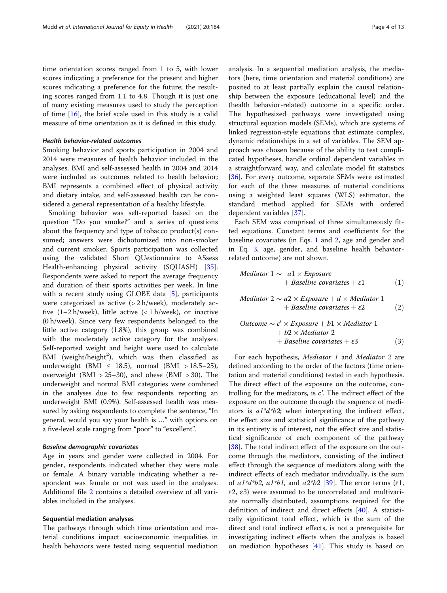time orientation scores ranged from 1 to 5, with lower scores indicating a preference for the present and higher scores indicating a preference for the future; the resulting scores ranged from 1.1 to 4.8. Though it is just one of many existing measures used to study the perception of time [[16](#page-11-0)], the brief scale used in this study is a valid measure of time orientation as it is defined in this study.

## Health behavior-related outcomes

Smoking behavior and sports participation in 2004 and 2014 were measures of health behavior included in the analyses. BMI and self-assessed health in 2004 and 2014 were included as outcomes related to health behavior; BMI represents a combined effect of physical activity and dietary intake, and self-assessed health can be considered a general representation of a healthy lifestyle.

Smoking behavior was self-reported based on the question "Do you smoke?" and a series of questions about the frequency and type of tobacco product(s) consumed; answers were dichotomized into non-smoker and current smoker. Sports participation was collected using the validated Short QUestionnaire to ASsess Health-enhancing physical activity (SQUASH) [\[35](#page-12-0)]. Respondents were asked to report the average frequency and duration of their sports activities per week. In line with a recent study using GLOBE data [\[5](#page-11-0)], participants were categorized as active (> 2 h/week), moderately active  $(1-2 h/$ week), little active  $(< 1 h/$ week), or inactive (0 h/week). Since very few respondents belonged to the little active category (1.8%), this group was combined with the moderately active category for the analyses. Self-reported weight and height were used to calculate BMI (weight/height<sup>2</sup>), which was then classified as underweight (BMI  $\leq$  18.5), normal (BMI > 18.5–25), overweight (BMI  $> 25-30$ ), and obese (BMI  $> 30$ ). The underweight and normal BMI categories were combined in the analyses due to few respondents reporting an underweight BMI (0.9%). Self-assessed health was measured by asking respondents to complete the sentence, "In general, would you say your health is …" with options on a five-level scale ranging from "poor" to "excellent".

## Baseline demographic covariates

Age in years and gender were collected in 2004. For gender, respondents indicated whether they were male or female. A binary variable indicating whether a respondent was female or not was used in the analyses. Additional file [2](#page-10-0) contains a detailed overview of all variables included in the analyses.

## Sequential mediation analyses

The pathways through which time orientation and material conditions impact socioeconomic inequalities in health behaviors were tested using sequential mediation analysis. In a sequential mediation analysis, the mediators (here, time orientation and material conditions) are posited to at least partially explain the causal relationship between the exposure (educational level) and the (health behavior-related) outcome in a specific order. The hypothesized pathways were investigated using structural equation models (SEMs), which are systems of linked regression-style equations that estimate complex, dynamic relationships in a set of variables. The SEM approach was chosen because of the ability to test complicated hypotheses, handle ordinal dependent variables in a straightforward way, and calculate model fit statistics [[36\]](#page-12-0). For every outcome, separate SEMs were estimated for each of the three measures of material conditions using a weighted least squares (WLS) estimator, the standard method applied for SEMs with ordered dependent variables [\[37\]](#page-12-0).

Each SEM was comprised of three simultaneously fitted equations. Constant terms and coefficients for the baseline covariates (in Eqs. 1 and 2, age and gender and in Eq. 3, age, gender, and baseline health behaviorrelated outcome) are not shown.

$$
\begin{aligned} \textit{Mediator 1} &\sim a1 \times \textit{Exposure} \\ &+ \textit{Baseline covariates} + \varepsilon1 \end{aligned} \tag{1}
$$

$$
\begin{aligned} \textit{Mediator 2} &\sim a2 \times \textit{Exposure} + d \times \textit{Mediator 1} \\ &+ \textit{Baseline covariates} + \varepsilon2 \end{aligned} \tag{2}
$$

$$
Outcome \sim c' \times Exposure + b1 \times Mediator 1+ b2 \times Mediator 2+ Baseline covariates + \varepsilon3
$$
(3)

For each hypothesis, *Mediator 1* and *Mediator 2* are defined according to the order of the factors (time orientation and material conditions) tested in each hypothesis. The direct effect of the exposure on the outcome, controlling for the mediators, is  $c'$ . The indirect effect of the exposure on the outcome through the sequence of mediators is  $a1*d*b2$ ; when interpreting the indirect effect, the effect size and statistical significance of the pathway in its entirety is of interest, not the effect size and statistical significance of each component of the pathway [[38\]](#page-12-0). The total indirect effect of the exposure on the outcome through the mediators, consisting of the indirect effect through the sequence of mediators along with the indirect effects of each mediator individually, is the sum of  $a1^*d^*b2$ ,  $a1^*b1$ , and  $a2^*b2$  [[39\]](#page-12-0). The error terms ( $\epsilon 1$ ,  $\epsilon$ 2,  $\epsilon$ 3) were assumed to be uncorrelated and multivariate normally distributed, assumptions required for the definition of indirect and direct effects [\[40](#page-12-0)]. A statistically significant total effect, which is the sum of the direct and total indirect effects, is not a prerequisite for investigating indirect effects when the analysis is based on mediation hypotheses  $[41]$ . This study is based on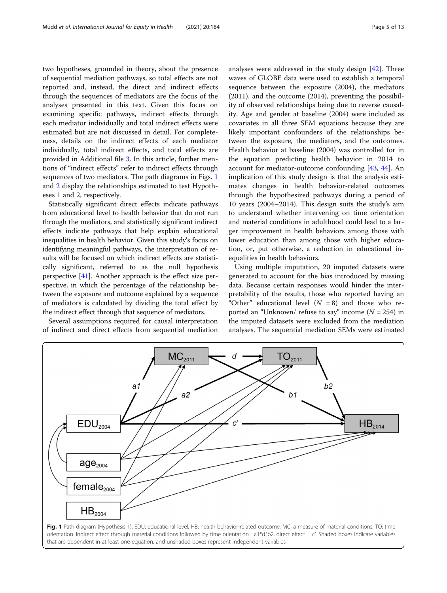two hypotheses, grounded in theory, about the presence of sequential mediation pathways, so total effects are not reported and, instead, the direct and indirect effects through the sequences of mediators are the focus of the analyses presented in this text. Given this focus on examining specific pathways, indirect effects through each mediator individually and total indirect effects were estimated but are not discussed in detail. For completeness, details on the indirect effects of each mediator individually, total indirect effects, and total effects are provided in Additional file [3.](#page-10-0) In this article, further mentions of "indirect effects" refer to indirect effects through sequences of two mediators. The path diagrams in Figs. 1 and [2](#page-5-0) display the relationships estimated to test Hypotheses 1 and 2, respectively.

Statistically significant direct effects indicate pathways from educational level to health behavior that do not run through the mediators, and statistically significant indirect effects indicate pathways that help explain educational inequalities in health behavior. Given this study's focus on identifying meaningful pathways, the interpretation of results will be focused on which indirect effects are statistically significant, referred to as the null hypothesis perspective [\[41\]](#page-12-0). Another approach is the effect size perspective, in which the percentage of the relationship between the exposure and outcome explained by a sequence of mediators is calculated by dividing the total effect by the indirect effect through that sequence of mediators.

Several assumptions required for causal interpretation of indirect and direct effects from sequential mediation analyses were addressed in the study design [\[42](#page-12-0)]. Three waves of GLOBE data were used to establish a temporal sequence between the exposure (2004), the mediators (2011), and the outcome (2014), preventing the possibility of observed relationships being due to reverse causality. Age and gender at baseline (2004) were included as covariates in all three SEM equations because they are likely important confounders of the relationships between the exposure, the mediators, and the outcomes. Health behavior at baseline (2004) was controlled for in the equation predicting health behavior in 2014 to account for mediator-outcome confounding [\[43](#page-12-0), [44\]](#page-12-0). An implication of this study design is that the analysis estimates changes in health behavior-related outcomes through the hypothesized pathways during a period of 10 years (2004–2014). This design suits the study's aim to understand whether intervening on time orientation and material conditions in adulthood could lead to a larger improvement in health behaviors among those with lower education than among those with higher education, or, put otherwise, a reduction in educational inequalities in health behaviors.

Using multiple imputation, 20 imputed datasets were generated to account for the bias introduced by missing data. Because certain responses would hinder the interpretability of the results, those who reported having an "Other" educational level  $(N = 8)$  and those who reported an "Unknown/ refuse to say" income  $(N = 254)$  in the imputed datasets were excluded from the mediation analyses. The sequential mediation SEMs were estimated

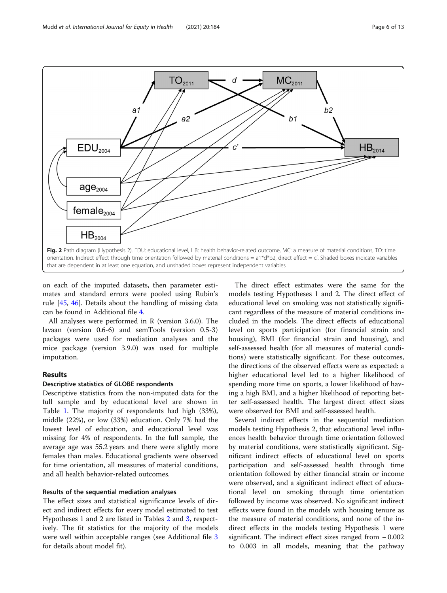<span id="page-5-0"></span>

on each of the imputed datasets, then parameter estimates and standard errors were pooled using Rubin's rule [\[45](#page-12-0), [46\]](#page-12-0). Details about the handling of missing data can be found in Additional file [4](#page-11-0).

All analyses were performed in R (version 3.6.0). The lavaan (version 0.6-6) and semTools (version 0.5-3) packages were used for mediation analyses and the mice package (version 3.9.0) was used for multiple imputation.

## **Results**

## Descriptive statistics of GLOBE respondents

Descriptive statistics from the non-imputed data for the full sample and by educational level are shown in Table [1](#page-6-0). The majority of respondents had high (33%), middle (22%), or low (33%) education. Only 7% had the lowest level of education, and educational level was missing for 4% of respondents. In the full sample, the average age was 55.2 years and there were slightly more females than males. Educational gradients were observed for time orientation, all measures of material conditions, and all health behavior-related outcomes.

## Results of the sequential mediation analyses

The effect sizes and statistical significance levels of direct and indirect effects for every model estimated to test Hypotheses 1 and 2 are listed in Tables [2](#page-7-0) and [3,](#page-8-0) respectively. The fit statistics for the majority of the models were well within acceptable ranges (see Additional file [3](#page-10-0) for details about model fit).

The direct effect estimates were the same for the models testing Hypotheses 1 and 2. The direct effect of educational level on smoking was not statistically significant regardless of the measure of material conditions included in the models. The direct effects of educational level on sports participation (for financial strain and housing), BMI (for financial strain and housing), and self-assessed health (for all measures of material conditions) were statistically significant. For these outcomes, the directions of the observed effects were as expected: a higher educational level led to a higher likelihood of spending more time on sports, a lower likelihood of having a high BMI, and a higher likelihood of reporting better self-assessed health. The largest direct effect sizes were observed for BMI and self-assessed health.

Several indirect effects in the sequential mediation models testing Hypothesis 2, that educational level influences health behavior through time orientation followed by material conditions, were statistically significant. Significant indirect effects of educational level on sports participation and self-assessed health through time orientation followed by either financial strain or income were observed, and a significant indirect effect of educational level on smoking through time orientation followed by income was observed. No significant indirect effects were found in the models with housing tenure as the measure of material conditions, and none of the indirect effects in the models testing Hypothesis 1 were significant. The indirect effect sizes ranged from − 0.002 to 0.003 in all models, meaning that the pathway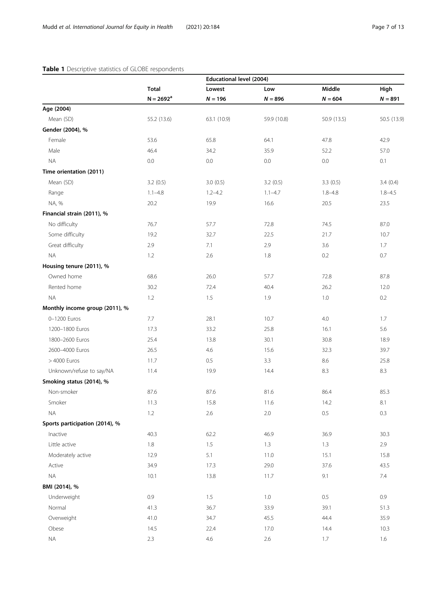## <span id="page-6-0"></span>Table 1 Descriptive statistics of GLOBE respondents

|                                |              | <b>Educational level (2004)</b> |             |             |             |
|--------------------------------|--------------|---------------------------------|-------------|-------------|-------------|
|                                | <b>Total</b> | Lowest                          | Low         | Middle      | High        |
|                                | $N = 2692^a$ | $N = 196$                       | $N = 896$   | $N = 604$   | $N = 891$   |
| Age (2004)                     |              |                                 |             |             |             |
| Mean (SD)                      | 55.2 (13.6)  | 63.1 (10.9)                     | 59.9 (10.8) | 50.9 (13.5) | 50.5 (13.9) |
| Gender (2004), %               |              |                                 |             |             |             |
| Female                         | 53.6         | 65.8                            | 64.1        | 47.8        | 42.9        |
| Male                           | 46.4         | 34.2                            | 35.9        | 52.2        | 57.0        |
| <b>NA</b>                      | 0.0          | 0.0                             | 0.0         | 0.0         | 0.1         |
| Time orientation (2011)        |              |                                 |             |             |             |
| Mean (SD)                      | 3.2(0.5)     | 3.0(0.5)                        | 3.2(0.5)    | 3.3(0.5)    | 3.4(0.4)    |
| Range                          | $1.1 - 4.8$  | $1.2 - 4.2$                     | $1.1 - 4.7$ | $1.8 - 4.8$ | $1.8 - 4.5$ |
| NA, %                          | 20.2         | 19.9                            | 16.6        | 20.5        | 23.5        |
| Financial strain (2011), %     |              |                                 |             |             |             |
| No difficulty                  | 76.7         | 57.7                            | 72.8        | 74.5        | 87.0        |
| Some difficulty                | 19.2         | 32.7                            | 22.5        | 21.7        | 10.7        |
| Great difficulty               | 2.9          | 7.1                             | 2.9         | 3.6         | 1.7         |
| <b>NA</b>                      | 1.2          | 2.6                             | 1.8         | 0.2         | 0.7         |
| Housing tenure (2011), %       |              |                                 |             |             |             |
| Owned home                     | 68.6         | 26.0                            | 57.7        | 72.8        | 87.8        |
| Rented home                    | 30.2         | 72.4                            | 40.4        | 26.2        | 12.0        |
| <b>NA</b>                      | 1.2          | 1.5                             | 1.9         | 1.0         | 0.2         |
| Monthly income group (2011), % |              |                                 |             |             |             |
| 0-1200 Euros                   | 7.7          | 28.1                            | 10.7        | 4.0         | 1.7         |
| 1200-1800 Euros                | 17.3         | 33.2                            | 25.8        | 16.1        | 5.6         |
| 1800-2600 Euros                | 25.4         | 13.8                            | 30.1        | 30.8        | 18.9        |
| 2600-4000 Euros                | 26.5         | 4.6                             | 15.6        | 32.3        | 39.7        |
| > 4000 Euros                   | 11.7         | 0.5                             | 3.3         | 8.6         | 25.8        |
| Unknown/refuse to say/NA       | 11.4         | 19.9                            | 14.4        | 8.3         | 8.3         |
| Smoking status (2014), %       |              |                                 |             |             |             |
| Non-smoker                     | 87.6         | 87.6                            | 81.6        | 86.4        | 85.3        |
| Smoker                         | 11.3         | 15.8                            | 11.6        | 14.2        | 8.1         |
| $\sf NA$                       | 1.2          | 2.6                             | $2.0\,$     | 0.5         | 0.3         |
| Sports participation (2014), % |              |                                 |             |             |             |
| Inactive                       | 40.3         | 62.2                            | 46.9        | 36.9        | 30.3        |
| Little active                  | $1.8\,$      | $1.5\,$                         | $1.3\,$     | $1.3\,$     | 2.9         |
| Moderately active              | 12.9         | $5.1\,$                         | 11.0        | 15.1        | 15.8        |
| Active                         | 34.9         | 17.3                            | 29.0        | 37.6        | 43.5        |
| $\sf NA$                       | 10.1         | 13.8                            | 11.7        | 9.1         | 7.4         |
| BMI (2014), %                  |              |                                 |             |             |             |
| Underweight                    | 0.9          | 1.5                             | 1.0         | 0.5         | 0.9         |
| Normal                         | 41.3         | 36.7                            | 33.9        | 39.1        | 51.3        |
| Overweight                     | 41.0         | 34.7                            | 45.5        | 44.4        | 35.9        |
| Obese                          | 14.5         | 22.4                            | 17.0        | 14.4        | 10.3        |
| $\sf NA$                       | $2.3\,$      | $4.6\,$                         | $2.6\,$     | $1.7\,$     | $1.6\,$     |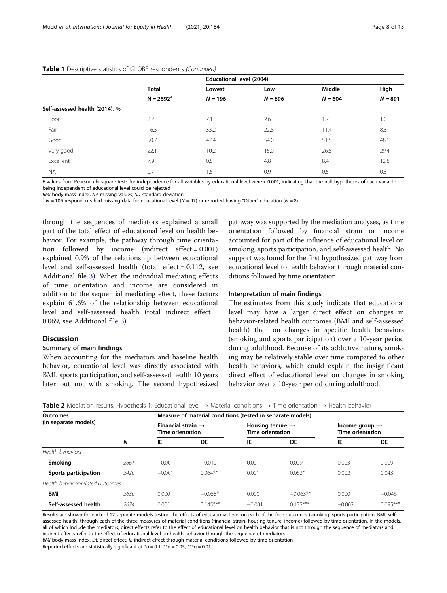|                                |              | Educational level (2004) |           |           |           |  |  |
|--------------------------------|--------------|--------------------------|-----------|-----------|-----------|--|--|
|                                | <b>Total</b> | Lowest                   | Low       | Middle    | High      |  |  |
|                                | $N = 2692^a$ | $N = 196$                | $N = 896$ | $N = 604$ | $N = 891$ |  |  |
| Self-assessed health (2014), % |              |                          |           |           |           |  |  |
| Poor                           | 2.2          | 7.1                      | 2.6       | 1.7       | 1.0       |  |  |
| Fair                           | 16.5         | 33.2                     | 22.8      | 11.4      | 8.3       |  |  |
| Good                           | 50.7         | 47.4                     | 54.0      | 51.5      | 48.1      |  |  |
| Very good                      | 22.1         | 10.2                     | 15.0      | 26.5      | 29.4      |  |  |
| Excellent                      | 7.9          | 0.5                      | 4.8       | 8.4       | 12.8      |  |  |
| <b>NA</b>                      | 0.7          | 1.5                      | 0.9       | 0.5       | 0.3       |  |  |

#### <span id="page-7-0"></span>Table 1 Descriptive statistics of GLOBE respondents (Continued)

P-values from Pearson chi-square tests for independence for all variables by educational level were < 0.001, indicating that the null hypotheses of each variable being independent of educational level could be rejected<br>BMI body mass index. NA missing values. SD standard deviation

 $^{\text{a}}$  N = 105 respondents had missing data for educational level (N = 97) or reported having "Other" education (N = 8)

through the sequences of mediators explained a small part of the total effect of educational level on health behavior. For example, the pathway through time orientation followed by income (indirect effect = 0.001) explained 0.9% of the relationship between educational level and self-assessed health (total effect = 0.112, see Additional file [3\)](#page-10-0). When the individual mediating effects of time orientation and income are considered in addition to the sequential mediating effect, these factors explain 61.6% of the relationship between educational level and self-assessed health (total indirect effect = 0.069, see Additional file [3](#page-10-0)).

## Discussion

## Summary of main findings

When accounting for the mediators and baseline health behavior, educational level was directly associated with BMI, sports participation, and self-assessed health 10 years later but not with smoking. The second hypothesized pathway was supported by the mediation analyses, as time orientation followed by financial strain or income accounted for part of the influence of educational level on smoking, sports participation, and self-assessed health. No support was found for the first hypothesized pathway from educational level to health behavior through material conditions followed by time orientation.

## Interpretation of main findings

The estimates from this study indicate that educational level may have a larger direct effect on changes in behavior-related health outcomes (BMI and self-assessed health) than on changes in specific health behaviors (smoking and sports participation) over a 10-year period during adulthood. Because of its addictive nature, smoking may be relatively stable over time compared to other health behaviors, which could explain the insignificant direct effect of educational level on changes in smoking behavior over a 10-year period during adulthood.

| <b>Outcomes</b><br>(in separate models) |      | Measure of material conditions (tested in separate models) |            |                                                         |            |                                                       |            |  |
|-----------------------------------------|------|------------------------------------------------------------|------------|---------------------------------------------------------|------------|-------------------------------------------------------|------------|--|
|                                         |      | Financial strain $\rightarrow$<br><b>Time orientation</b>  |            | Housing tenure $\rightarrow$<br><b>Time orientation</b> |            | Income group $\rightarrow$<br><b>Time orientation</b> |            |  |
|                                         | N    | IE                                                         | <b>DE</b>  | IE                                                      | <b>DE</b>  | IE                                                    | DE         |  |
| Health behaviors                        |      |                                                            |            |                                                         |            |                                                       |            |  |
| <b>Smoking</b>                          | 2661 | $-0.001$                                                   | $-0.010$   | 0.001                                                   | 0.009      | 0.003                                                 | 0.009      |  |
| Sports participation                    | 2420 | $-0.001$                                                   | $0.064**$  | 0.001                                                   | $0.062*$   | 0.002                                                 | 0.043      |  |
| Health behavior-related outcomes        |      |                                                            |            |                                                         |            |                                                       |            |  |
| <b>BMI</b>                              | 2630 | 0.000                                                      | $-0.058*$  | 0.000                                                   | $-0.063**$ | 0.000                                                 | $-0.046$   |  |
| Self-assessed health                    | 2674 | 0.001                                                      | $0.145***$ | $-0.001$                                                | $0.132***$ | $-0.002$                                              | $0.095***$ |  |

Table 2 Mediation results, Hypothesis 1: Educational level → Material conditions → Time orientation → Health behavior

Results are shown for each of 12 separate models testing the effects of educational level on each of the four outcomes (smoking, sports participation, BMI, selfassessed health) through each of the three measures of material conditions (financial strain, housing tenure, income) followed by time orientation. In the models, all of which include the mediators, direct effects refer to the effect of educational level on health behavior that is not through the sequence of mediators and indirect effects refer to the effect of educational level on health behavior through the sequence of mediators BMI body mass index. DE direct effect, IE indirect effect through material conditions followed by time orientation

Reported effects are statistically significant at  $* \alpha = 0.1$ ,  $* \alpha = 0.05$ ,  $* \ast \alpha = 0.01$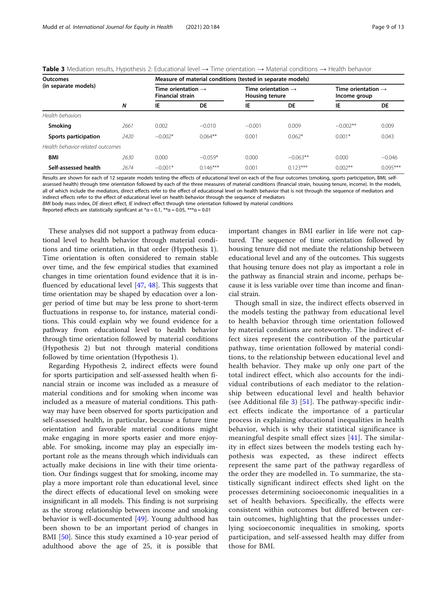<span id="page-8-0"></span>

|  | Table 3 Mediation results, Hypothesis 2: Educational level $\rightarrow$ Time orientation $\rightarrow$ Material conditions $\rightarrow$ Health behavior |
|--|-----------------------------------------------------------------------------------------------------------------------------------------------------------|
|--|-----------------------------------------------------------------------------------------------------------------------------------------------------------|

| <b>Outcomes</b>                  |      | Measure of material conditions (tested in separate models) |            |                                                         |            |                                                |            |  |
|----------------------------------|------|------------------------------------------------------------|------------|---------------------------------------------------------|------------|------------------------------------------------|------------|--|
| (in separate models)             | N    | Time orientation $\rightarrow$<br><b>Financial strain</b>  |            | Time orientation $\rightarrow$<br><b>Housing tenure</b> |            | Time orientation $\rightarrow$<br>Income group |            |  |
|                                  |      | IE                                                         | <b>DE</b>  | IE                                                      | <b>DE</b>  | IE                                             | DE         |  |
| Health behaviors                 |      |                                                            |            |                                                         |            |                                                |            |  |
| Smoking                          | 2661 | 0.002                                                      | $-0.010$   | $-0.001$                                                | 0.009      | $-0.002**$                                     | 0.009      |  |
| Sports participation             | 2420 | $-0.002*$                                                  | $0.064**$  | 0.001                                                   | $0.062*$   | $0.001*$                                       | 0.043      |  |
| Health behavior-related outcomes |      |                                                            |            |                                                         |            |                                                |            |  |
| <b>BMI</b>                       | 2630 | 0.000                                                      | $-0.059*$  | 0.000                                                   | $-0.063**$ | 0.000                                          | $-0.046$   |  |
| Self-assessed health             | 2674 | $-0.001*$                                                  | $0.146***$ | 0.001                                                   | $0.123***$ | $0.002**$                                      | $0.095***$ |  |

Results are shown for each of 12 separate models testing the effects of educational level on each of the four outcomes (smoking, sports participation, BMI, selfassessed health) through time orientation followed by each of the three measures of material conditions (financial strain, housing tenure, income). In the models, all of which include the mediators, direct effects refer to the effect of educational level on health behavior that is not through the sequence of mediators and indirect effects refer to the effect of educational level on health behavior through the sequence of mediators

BMI body mass index, DE direct effect, IE indirect effect through time orientation followed by material conditions

Reported effects are statistically significant at  $* \alpha = 0.1$ ,  $* \alpha = 0.05$ ,  $* \ast \alpha = 0.01$ 

These analyses did not support a pathway from educational level to health behavior through material conditions and time orientation, in that order (Hypothesis 1). Time orientation is often considered to remain stable over time, and the few empirical studies that examined changes in time orientation found evidence that it is influenced by educational level [\[47](#page-12-0), [48](#page-12-0)]. This suggests that time orientation may be shaped by education over a longer period of time but may be less prone to short-term fluctuations in response to, for instance, material conditions. This could explain why we found evidence for a pathway from educational level to health behavior through time orientation followed by material conditions (Hypothesis 2) but not through material conditions followed by time orientation (Hypothesis 1).

Regarding Hypothesis 2, indirect effects were found for sports participation and self-assessed health when financial strain or income was included as a measure of material conditions and for smoking when income was included as a measure of material conditions. This pathway may have been observed for sports participation and self-assessed health, in particular, because a future time orientation and favorable material conditions might make engaging in more sports easier and more enjoyable. For smoking, income may play an especially important role as the means through which individuals can actually make decisions in line with their time orientation. Our findings suggest that for smoking, income may play a more important role than educational level, since the direct effects of educational level on smoking were insignificant in all models. This finding is not surprising as the strong relationship between income and smoking behavior is well-documented [[49\]](#page-12-0). Young adulthood has been shown to be an important period of changes in BMI [\[50](#page-12-0)]. Since this study examined a 10-year period of adulthood above the age of 25, it is possible that important changes in BMI earlier in life were not captured. The sequence of time orientation followed by housing tenure did not mediate the relationship between educational level and any of the outcomes. This suggests that housing tenure does not play as important a role in the pathway as financial strain and income, perhaps because it is less variable over time than income and financial strain.

Though small in size, the indirect effects observed in the models testing the pathway from educational level to health behavior through time orientation followed by material conditions are noteworthy. The indirect effect sizes represent the contribution of the particular pathway, time orientation followed by material conditions, to the relationship between educational level and health behavior. They make up only one part of the total indirect effect, which also accounts for the individual contributions of each mediator to the relationship between educational level and health behavior (see Additional file  $3$ ) [[51](#page-12-0)]. The pathway-specific indirect effects indicate the importance of a particular process in explaining educational inequalities in health behavior, which is why their statistical significance is meaningful despite small effect sizes [[41](#page-12-0)]. The similarity in effect sizes between the models testing each hypothesis was expected, as these indirect effects represent the same part of the pathway regardless of the order they are modelled in. To summarize, the statistically significant indirect effects shed light on the processes determining socioeconomic inequalities in a set of health behaviors. Specifically, the effects were consistent within outcomes but differed between certain outcomes, highlighting that the processes underlying socioeconomic inequalities in smoking, sports participation, and self-assessed health may differ from those for BMI.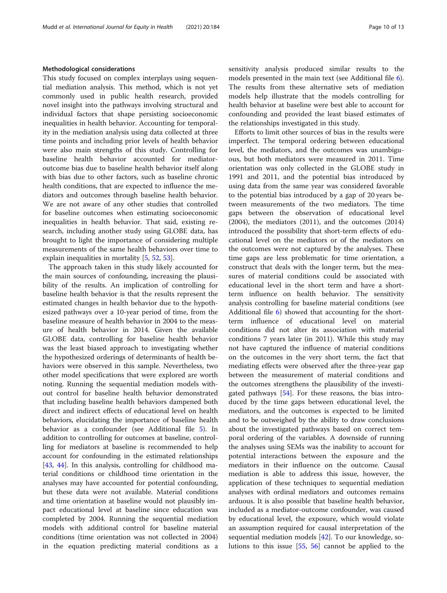## Methodological considerations

This study focused on complex interplays using sequential mediation analysis. This method, which is not yet commonly used in public health research, provided novel insight into the pathways involving structural and individual factors that shape persisting socioeconomic inequalities in health behavior. Accounting for temporality in the mediation analysis using data collected at three time points and including prior levels of health behavior were also main strengths of this study. Controlling for baseline health behavior accounted for mediatoroutcome bias due to baseline health behavior itself along with bias due to other factors, such as baseline chronic health conditions, that are expected to influence the mediators and outcomes through baseline health behavior. We are not aware of any other studies that controlled for baseline outcomes when estimating socioeconomic inequalities in health behavior. That said, existing research, including another study using GLOBE data, has brought to light the importance of considering multiple measurements of the same health behaviors over time to explain inequalities in mortality [\[5](#page-11-0), [52](#page-12-0), [53](#page-12-0)].

The approach taken in this study likely accounted for the main sources of confounding, increasing the plausibility of the results. An implication of controlling for baseline health behavior is that the results represent the estimated changes in health behavior due to the hypothesized pathways over a 10-year period of time, from the baseline measure of health behavior in 2004 to the measure of health behavior in 2014. Given the available GLOBE data, controlling for baseline health behavior was the least biased approach to investigating whether the hypothesized orderings of determinants of health behaviors were observed in this sample. Nevertheless, two other model specifications that were explored are worth noting. Running the sequential mediation models without control for baseline health behavior demonstrated that including baseline health behaviors dampened both direct and indirect effects of educational level on health behaviors, elucidating the importance of baseline health behavior as a confounder (see Additional file [5](#page-11-0)). In addition to controlling for outcomes at baseline, controlling for mediators at baseline is recommended to help account for confounding in the estimated relationships [[43,](#page-12-0) [44\]](#page-12-0). In this analysis, controlling for childhood material conditions or childhood time orientation in the analyses may have accounted for potential confounding, but these data were not available. Material conditions and time orientation at baseline would not plausibly impact educational level at baseline since education was completed by 2004. Running the sequential mediation models with additional control for baseline material conditions (time orientation was not collected in 2004) in the equation predicting material conditions as a sensitivity analysis produced similar results to the models presented in the main text (see Additional file [6](#page-11-0)). The results from these alternative sets of mediation models help illustrate that the models controlling for health behavior at baseline were best able to account for confounding and provided the least biased estimates of the relationships investigated in this study.

Efforts to limit other sources of bias in the results were imperfect. The temporal ordering between educational level, the mediators, and the outcomes was unambiguous, but both mediators were measured in 2011. Time orientation was only collected in the GLOBE study in 1991 and 2011, and the potential bias introduced by using data from the same year was considered favorable to the potential bias introduced by a gap of 20 years between measurements of the two mediators. The time gaps between the observation of educational level (2004), the mediators (2011), and the outcomes (2014) introduced the possibility that short-term effects of educational level on the mediators or of the mediators on the outcomes were not captured by the analyses. These time gaps are less problematic for time orientation, a construct that deals with the longer term, but the measures of material conditions could be associated with educational level in the short term and have a shortterm influence on health behavior. The sensitivity analysis controlling for baseline material conditions (see Additional file [6\)](#page-11-0) showed that accounting for the shortterm influence of educational level on material conditions did not alter its association with material conditions 7 years later (in 2011). While this study may not have captured the influence of material conditions on the outcomes in the very short term, the fact that mediating effects were observed after the three-year gap between the measurement of material conditions and the outcomes strengthens the plausibility of the investigated pathways [\[54](#page-12-0)]. For these reasons, the bias introduced by the time gaps between educational level, the mediators, and the outcomes is expected to be limited and to be outweighed by the ability to draw conclusions about the investigated pathways based on correct temporal ordering of the variables. A downside of running the analyses using SEMs was the inability to account for potential interactions between the exposure and the mediators in their influence on the outcome. Causal mediation is able to address this issue, however, the application of these techniques to sequential mediation analyses with ordinal mediators and outcomes remains arduous. It is also possible that baseline health behavior, included as a mediator-outcome confounder, was caused by educational level, the exposure, which would violate an assumption required for causal interpretation of the sequential mediation models [[42\]](#page-12-0). To our knowledge, solutions to this issue [\[55](#page-12-0), [56\]](#page-12-0) cannot be applied to the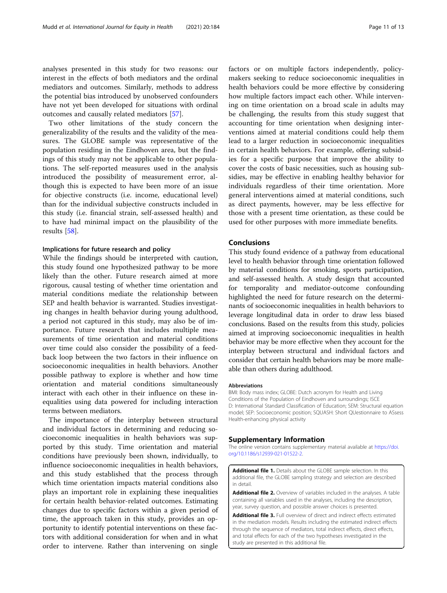<span id="page-10-0"></span>analyses presented in this study for two reasons: our interest in the effects of both mediators and the ordinal mediators and outcomes. Similarly, methods to address the potential bias introduced by unobserved confounders have not yet been developed for situations with ordinal outcomes and causally related mediators [\[57](#page-12-0)].

Two other limitations of the study concern the generalizability of the results and the validity of the measures. The GLOBE sample was representative of the population residing in the Eindhoven area, but the findings of this study may not be applicable to other populations. The self-reported measures used in the analysis introduced the possibility of measurement error, although this is expected to have been more of an issue for objective constructs (i.e. income, educational level) than for the individual subjective constructs included in this study (i.e. financial strain, self-assessed health) and to have had minimal impact on the plausibility of the results [[58](#page-12-0)].

## Implications for future research and policy

While the findings should be interpreted with caution, this study found one hypothesized pathway to be more likely than the other. Future research aimed at more rigorous, causal testing of whether time orientation and material conditions mediate the relationship between SEP and health behavior is warranted. Studies investigating changes in health behavior during young adulthood, a period not captured in this study, may also be of importance. Future research that includes multiple measurements of time orientation and material conditions over time could also consider the possibility of a feedback loop between the two factors in their influence on socioeconomic inequalities in health behaviors. Another possible pathway to explore is whether and how time orientation and material conditions simultaneously interact with each other in their influence on these inequalities using data powered for including interaction terms between mediators.

The importance of the interplay between structural and individual factors in determining and reducing socioeconomic inequalities in health behaviors was supported by this study. Time orientation and material conditions have previously been shown, individually, to influence socioeconomic inequalities in health behaviors, and this study established that the process through which time orientation impacts material conditions also plays an important role in explaining these inequalities for certain health behavior-related outcomes. Estimating changes due to specific factors within a given period of time, the approach taken in this study, provides an opportunity to identify potential interventions on these factors with additional consideration for when and in what order to intervene. Rather than intervening on single

factors or on multiple factors independently, policymakers seeking to reduce socioeconomic inequalities in health behaviors could be more effective by considering how multiple factors impact each other. While intervening on time orientation on a broad scale in adults may be challenging, the results from this study suggest that accounting for time orientation when designing interventions aimed at material conditions could help them lead to a larger reduction in socioeconomic inequalities in certain health behaviors. For example, offering subsidies for a specific purpose that improve the ability to cover the costs of basic necessities, such as housing subsidies, may be effective in enabling healthy behavior for individuals regardless of their time orientation. More general interventions aimed at material conditions, such as direct payments, however, may be less effective for those with a present time orientation, as these could be used for other purposes with more immediate benefits.

## Conclusions

This study found evidence of a pathway from educational level to health behavior through time orientation followed by material conditions for smoking, sports participation, and self-assessed health. A study design that accounted for temporality and mediator-outcome confounding highlighted the need for future research on the determinants of socioeconomic inequalities in health behaviors to leverage longitudinal data in order to draw less biased conclusions. Based on the results from this study, policies aimed at improving socioeconomic inequalities in health behavior may be more effective when they account for the interplay between structural and individual factors and consider that certain health behaviors may be more malleable than others during adulthood.

#### Abbreviations

BMI: Body mass index; GLOBE: Dutch acronym for Health and Living Conditions of the Population of Eindhoven and surroundings; ISCE D: International Standard Classification of Education; SEM: Structural equation model; SEP: Socioeconomic position; SQUASH: Short QUestionnaire to ASsess Health-enhancing physical activity

## Supplementary Information

The online version contains supplementary material available at [https://doi.](https://doi.org/10.1186/s12939-021-01522-2) [org/10.1186/s12939-021-01522-2.](https://doi.org/10.1186/s12939-021-01522-2)

Additional file 1. Details about the GLOBE sample selection. In this additional file, the GLOBE sampling strategy and selection are described in detail.

Additional file 2. Overview of variables included in the analyses. A table containing all variables used in the analyses, including the description, year, survey question, and possible answer choices is presented.

Additional file 3. Full overview of direct and indirect effects estimated in the mediation models. Results including the estimated indirect effects through the sequence of mediators, total indirect effects, direct effects, and total effects for each of the two hypotheses investigated in the study are presented in this additional file.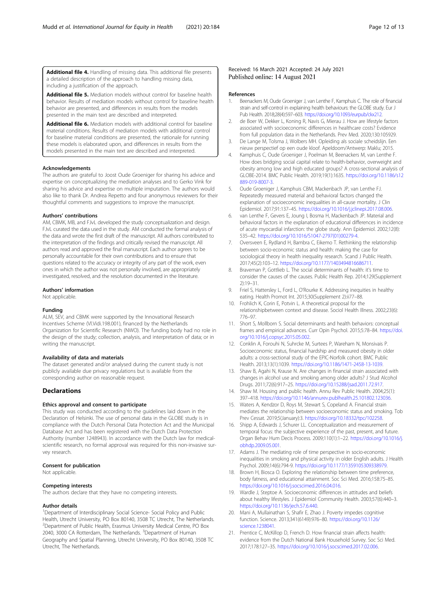<span id="page-11-0"></span>Additional file 4. Handling of missing data. This additional file presents a detailed description of the approach to handling missing data, including a justification of the approach.

Additional file 5. Mediation models without control for baseline health behavior. Results of mediation models without control for baseline health behavior are presented, and differences in results from the models presented in the main text are described and interpreted.

Additional file 6. Mediation models with additional control for baseline material conditions. Results of mediation models with additional control for baseline material conditions are presented, the rationale for running these models is elaborated upon, and differences in results from the models presented in the main text are described and interpreted.

#### Acknowledgements

The authors are grateful to Joost Oude Groeniger for sharing his advice and expertise on conceptualizing the mediation analyses and to Gerko Vink for sharing his advice and expertise on multiple imputation. The authors would also like to thank Dr. Andrea Repetto and four anonymous reviewers for their thoughtful comments and suggestions to improve the manuscript.

## Authors' contributions

AM, CBMK, MB, and FJvL developed the study conceptualization and design. FJvL curated the data used in the study. AM conducted the formal analysis of the data and wrote the first draft of the manuscript. All authors contributed to the interpretation of the findings and critically revised the manuscript. All authors read and approved the final manuscript. Each author agrees to be personally accountable for their own contributions and to ensure that questions related to the accuracy or integrity of any part of the work, even ones in which the author was not personally involved, are appropriately investigated, resolved, and the resolution documented in the literature.

#### Authors' information

Not applicable.

#### Funding

ALM, SEV, and CBMK were supported by the Innovational Research Incentives Scheme (Vl.Vidi.198.001), financed by the Netherlands Organization for Scientific Research (NWO). The funding body had no role in the design of the study; collection, analysis, and interpretation of data; or in writing the manuscript.

#### Availability of data and materials

The dataset generated and/or analysed during the current study is not publicly available due privacy regulations but is available from the corresponding author on reasonable request.

#### **Declarations**

#### Ethics approval and consent to participate

This study was conducted according to the guidelines laid down in the Declaration of Helsinki. The use of personal data in the GLOBE study is in compliance with the Dutch Personal Data Protection Act and the Municipal Database Act and has been registered with the Dutch Data Protection Authority (number 1248943). In accordance with the Dutch law for medicalscientific research, no formal approval was required for this non-invasive survey research.

## Consent for publication

Not applicable.

#### Competing interests

The authors declare that they have no competing interests.

## Author details

<sup>1</sup>Department of Interdisciplinary Social Science- Social Policy and Public Health, Utrecht University, PO Box 80140, 3508 TC Utrecht, The Netherlands. 2 Department of Public Health, Erasmus University Medical Centre, PO Box 2040, 3000 CA Rotterdam, The Netherlands. <sup>3</sup>Department of Human Geography and Spatial Planning, Utrecht University, PO Box 80140, 3508 TC Utrecht, The Netherlands.

## Received: 16 March 2021 Accepted: 24 July 2021 Published online: 14 August 2021

#### References

- 1. Beenackers M, Oude Groeniger J, van Lenthe F, Kamphuis C. The role of financial strain and self-control in explaining health behaviours: the GLOBE study. Eur J Pub Health. 2018;28(4):597–603. [https://doi.org/10.1093/eurpub/ckx212.](https://doi.org/10.1093/eurpub/ckx212)
- 2. de Boer W, Dekker L, Koning R, Navis G, Mierau J. How are lifestyle factors associated with socioeconomic differences in healthcare costs? Evidence from full population data in the Netherlands. Prev Med. 2020;130:105929.
- 3. De Lange M, Tolsma J, Wolbers MH. Opleiding als sociale scheidslijn. Een nieuw perspectief op een oude kloof. Apeldoorn/Antwerp: Maklu; 2015.
- 4. Kamphuis C, Oude Groeniger J, Poelman M, Beenackers M, van Lenthe F. How does bridging social capital relate to health-behavior, overweight and obesity among low and high educated groups? A cross-sectional analysis of GLOBE-2014. BMC Public Health. 2019;19(1):1635. [https://doi.org/10.1186/s12](https://doi.org/10.1186/s12889-019-8007-3) [889-019-8007-3.](https://doi.org/10.1186/s12889-019-8007-3)
- 5. Oude Groeniger J, Kamphuis CBM, Mackenbach JP, van Lenthe FJ. Repeatedly measured material and behavioral factors changed the explanation of socioeconomic inequalities in all-cause mortality. J Clin Epidemiol. 2017;91:137–45. [https://doi.org/10.1016/j.jclinepi.2017.08.006.](https://doi.org/10.1016/j.jclinepi.2017.08.006)
- van Lenthe F, Gevers E, Joung I, Bosma H, Mackenbach JP. Material and behavioral factors in the explanation of educational differences in incidence of acute myocardial infarction: the globe study. Ann Epidemiol. 2002;12(8): 535–42. [https://doi.org/10.1016/S1047-2797\(01\)00279-4.](https://doi.org/10.1016/S1047-2797(01)00279-4)
- 7. Oversveen E, Rydland H, Bambra C, Eikemo T. Rethinking the relationship between socio-economic status and health: making the case for sociological theory in health inequality research. Scand J Public Health. 2017;45(2):103–12. <https://doi.org/10.1177/1403494816686711>.
- 8. Braveman P, Gottlieb L. The social determinants of health: it's time to consider the causes of the causes. Public Health Rep. 2014;129(Supplement 2):19–31.
- 9. Friel S, Hattersley L, Ford L, O'Rourke K. Addressing inequities in healthy eating. Health Promot Int. 2015;30(Supplement 2):ii77–88.
- 10. Frohlich K, Corin E, Potvin L. A theoretical proposal for the relationshipbetween context and disease. Sociol Health Illness. 2002;23(6): 776–97.
- 11. Short S, Mollborn S. Social determinants and health behaviors: conceptual frames and empirical advances. Curr Opin Psychol. 2015;5:78–84. [https://doi.](https://doi.org/10.1016/j.copsyc.2015.05.002) [org/10.1016/j.copsyc.2015.05.002.](https://doi.org/10.1016/j.copsyc.2015.05.002)
- 12. Conklin A, Forouhi N, Suhrcke M, Surtees P, Wareham N, Monsivais P. Socioeconomic status, financial hardship and measured obesity in older adults: a cross-sectional study of the EPIC-Norfolk cohort. BMC Public Health. 2013;13(1):1039. [https://doi.org/10.1186/1471-2458-13-1039.](https://doi.org/10.1186/1471-2458-13-1039)
- 13. Shaw B, Agahi N, Krause N. Are changes in financial strain associated with changes in alcohol use and smoking among older adults? J Stud Alcohol Drugs. 2011;72(6):917–25. [https://doi.org/10.15288/jsad.2011.72.917.](https://doi.org/10.15288/jsad.2011.72.917)
- 14. Shaw M. Housing and public health. Annu Rev Public Health. 2004;25(1): 397–418. [https://doi.org/10.1146/annurev.publhealth.25.101802.123036.](https://doi.org/10.1146/annurev.publhealth.25.101802.123036)
- 15. Waters A, Kendzor D, Roys M, Stewart S, Copeland A. Financial strain mediates the relationship between socioeconomic status and smoking. Tob Prev Cessat. 2019;5(January):3. <https://doi.org/10.18332/tpc/102258>.
- 16. Shipp A, Edwards J, Schurer LL. Conceptualization and measurement of temporal focus: the subjective experience of the past, present, and future. Organ Behav Hum Decis Process. 2009;110(1):1–22. [https://doi.org/10.1016/j.](https://doi.org/10.1016/j.obhdp.2009.05.001) [obhdp.2009.05.001](https://doi.org/10.1016/j.obhdp.2009.05.001).
- 17. Adams J. The mediating role of time perspective in socio-economic inequalities in smoking and physical activity in older English adults. J Health Psychol. 2009;14(6):794-9. <https://doi.org/10.1177/1359105309338979>.
- 18. Brown H, Biosca O. Exploring the relationship between time preference, body fatness, and educational attainment. Soc Sci Med. 2016;158:75–85. [https://doi.org/10.1016/j.socscimed.2016.04.016.](https://doi.org/10.1016/j.socscimed.2016.04.016)
- 19. Wardle J, Steptoe A. Socioeconomic differences in attitudes and beliefs about healthy lifestyles. J Epidemiol Community Health. 2003;57(6):440–3. [https://doi.org/10.1136/jech.57.6.440.](https://doi.org/10.1136/jech.57.6.440)
- 20. Mani A, Mullainathan S, Shafir E, Zhao J. Poverty impedes cognitive function. Science. 2013;341(6149):976–80. [https://doi.org/10.1126/](https://doi.org/10.1126/science.1238041) [science.1238041.](https://doi.org/10.1126/science.1238041)
- 21. Prentice C, McKillop D, French D. How financial strain affects health: evidence from the Dutch National Bank Household Survey. Soc Sci Med. 2017;178:127–35. [https://doi.org/10.1016/j.socscimed.2017.02.006.](https://doi.org/10.1016/j.socscimed.2017.02.006)